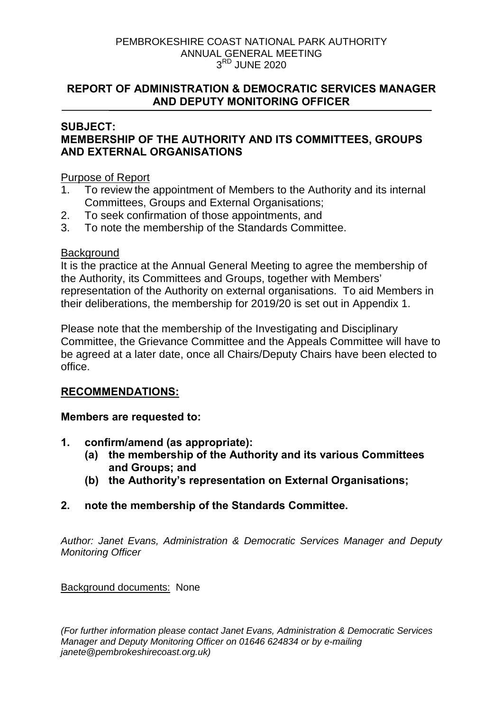#### PEMBROKESHIRE COAST NATIONAL PARK AUTHORITY ANNUAL GENERAL MEETING  $3<sup>RD</sup>$  JUNF 2020

### **REPORT OF ADMINISTRATION & DEMOCRATIC SERVICES MANAGER AND DEPUTY MONITORING OFFICER**

### **SUBJECT: MEMBERSHIP OF THE AUTHORITY AND ITS COMMITTEES, GROUPS AND EXTERNAL ORGANISATIONS**

### Purpose of Report

- 1. To review the appointment of Members to the Authority and its internal Committees, Groups and External Organisations;
- 2. To seek confirmation of those appointments, and
- 3. To note the membership of the Standards Committee.

### **Background**

It is the practice at the Annual General Meeting to agree the membership of the Authority, its Committees and Groups, together with Members' representation of the Authority on external organisations. To aid Members in their deliberations, the membership for 2019/20 is set out in Appendix 1.

Please note that the membership of the Investigating and Disciplinary Committee, the Grievance Committee and the Appeals Committee will have to be agreed at a later date, once all Chairs/Deputy Chairs have been elected to office.

### **RECOMMENDATIONS:**

### **Members are requested to:**

- **1. confirm/amend (as appropriate):** 
	- **(a) the membership of the Authority and its various Committees and Groups; and**
	- **(b) the Authority's representation on External Organisations;**
- **2. note the membership of the Standards Committee.**

*Author: Janet Evans, Administration & Democratic Services Manager and Deputy Monitoring Officer*

Background documents: None

*(For further information please contact Janet Evans, Administration & Democratic Services Manager and Deputy Monitoring Officer on 01646 624834 or by e-mailing janete@pembrokeshirecoast.org.uk)*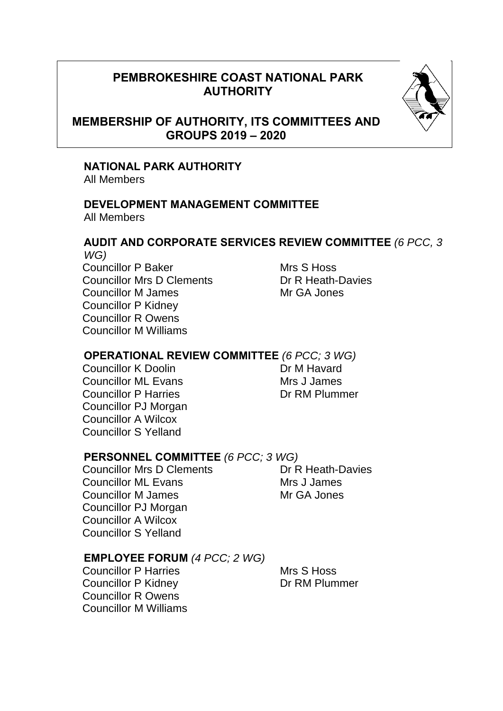# **PEMBROKESHIRE COAST NATIONAL PARK AUTHORITY**



# **MEMBERSHIP OF AUTHORITY, ITS COMMITTEES AND GROUPS 2019 – 2020**

### **NATIONAL PARK AUTHORITY**

All Members

#### **DEVELOPMENT MANAGEMENT COMMITTEE**  All Members

#### **AUDIT AND CORPORATE SERVICES REVIEW COMMITTEE** *(6 PCC, 3 WG)*

Councillor P Baker Mrs S Hoss Councillor Mrs D Clements **Dr R Heath-Davies** Councillor M James Manuel Mr GA Jones Councillor P Kidney Councillor R Owens Councillor M Williams

### **OPERATIONAL REVIEW COMMITTEE** *(6 PCC; 3 WG)*

Councillor K Doolin Dr M Havard Councillor ML Evans<br>
Councillor P Harries<br>
Councillor P Harries<br>
Councillor P Harries **Councillor P Harries** Councillor PJ Morgan Councillor A Wilcox Councillor S Yelland

### **PERSONNEL COMMITTEE** *(6 PCC; 3 WG)*

Councillor Mrs D Clements **Dr R Heath-Davies** Councillor ML Evans Mrs J James Councillor M James Mr GA Jones Councillor PJ Morgan Councillor A Wilcox Councillor S Yelland

### **EMPLOYEE FORUM** *(4 PCC; 2 WG)*

Councillor P Harries Mrs S Hoss Councillor P Kidney Dr RM Plummer Councillor R Owens Councillor M Williams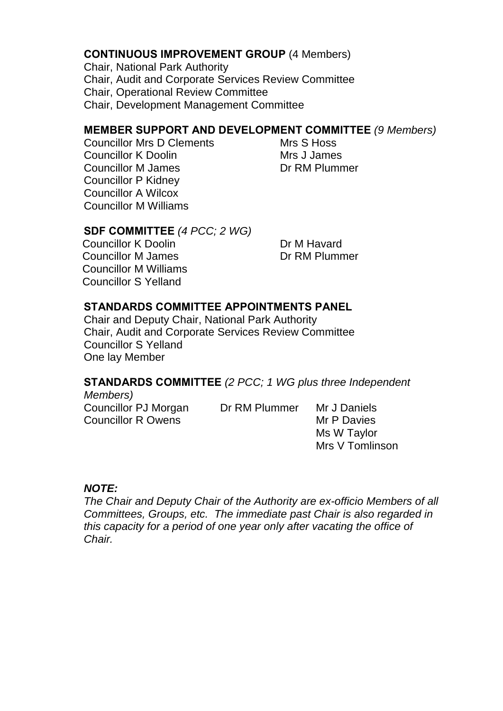### **CONTINUOUS IMPROVEMENT GROUP** (4 Members)

Chair, National Park Authority Chair, Audit and Corporate Services Review Committee Chair, Operational Review Committee Chair, Development Management Committee

### **MEMBER SUPPORT AND DEVELOPMENT COMMITTEE** *(9 Members)*

Councillor Mrs D Clements Mrs S Hoss Councillor K Doolin Mrs J James Councillor M James Dr RM Plummer Councillor P Kidney Councillor A Wilcox Councillor M Williams

### **SDF COMMITTEE** *(4 PCC; 2 WG)*

Councillor K Doolin Dr M Havard Councillor M James Dr RM Plummer Councillor M Williams Councillor S Yelland

### **STANDARDS COMMITTEE APPOINTMENTS PANEL**

Chair and Deputy Chair, National Park Authority Chair, Audit and Corporate Services Review Committee Councillor S Yelland One lay Member

# **STANDARDS COMMITTEE** *(2 PCC; 1 WG plus three Independent*

*Members)* Councillor PJ Morgan Dr RM Plummer Mr J Daniels Councillor R Owens Mr P Davies

Ms W Taylor Mrs V Tomlinson

### *NOTE:*

*The Chair and Deputy Chair of the Authority are ex-officio Members of all Committees, Groups, etc. The immediate past Chair is also regarded in this capacity for a period of one year only after vacating the office of Chair.*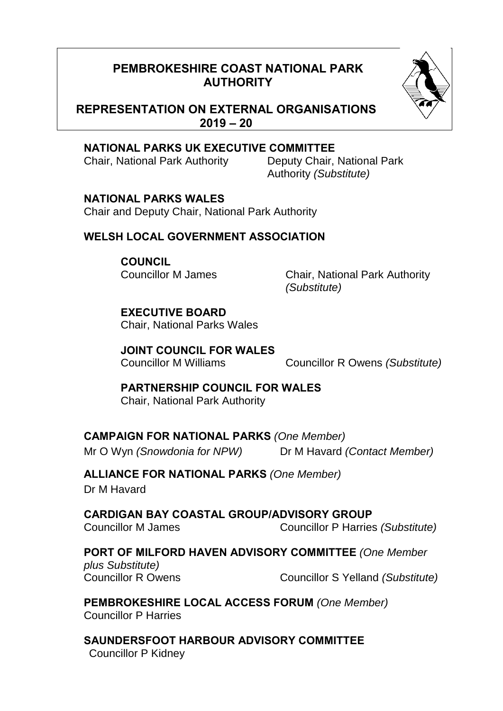# **PEMBROKESHIRE COAST NATIONAL PARK AUTHORITY**



### **REPRESENTATION ON EXTERNAL ORGANISATIONS 2019 – 20**

### **NATIONAL PARKS UK EXECUTIVE COMMITTEE**

Chair, National Park Authority Deputy Chair, National Park

Authority *(Substitute)*

## **NATIONAL PARKS WALES**

Chair and Deputy Chair, National Park Authority

## **WELSH LOCAL GOVERNMENT ASSOCIATION**

# **COUNCIL**

Councillor M James Chair, National Park Authority *(Substitute)*

### **EXECUTIVE BOARD**  Chair, National Parks Wales

**JOINT COUNCIL FOR WALES** 

Councillor M Williams Councillor R Owens *(Substitute)*

### **PARTNERSHIP COUNCIL FOR WALES** Chair, National Park Authority

# **CAMPAIGN FOR NATIONAL PARKS** *(One Member)*

Mr O Wyn *(Snowdonia for NPW)* Dr M Havard *(Contact Member)*

# **ALLIANCE FOR NATIONAL PARKS** *(One Member)*

Dr M Havard

**CARDIGAN BAY COASTAL GROUP/ADVISORY GROUP**  Councillor M James Councillor P Harries *(Substitute)*

# **PORT OF MILFORD HAVEN ADVISORY COMMITTEE** *(One Member*

*plus Substitute)* 

Councillor R Owens Councillor S Yelland *(Substitute)*

**PEMBROKESHIRE LOCAL ACCESS FORUM** *(One Member)* Councillor P Harries

**SAUNDERSFOOT HARBOUR ADVISORY COMMITTEE**  Councillor P Kidney